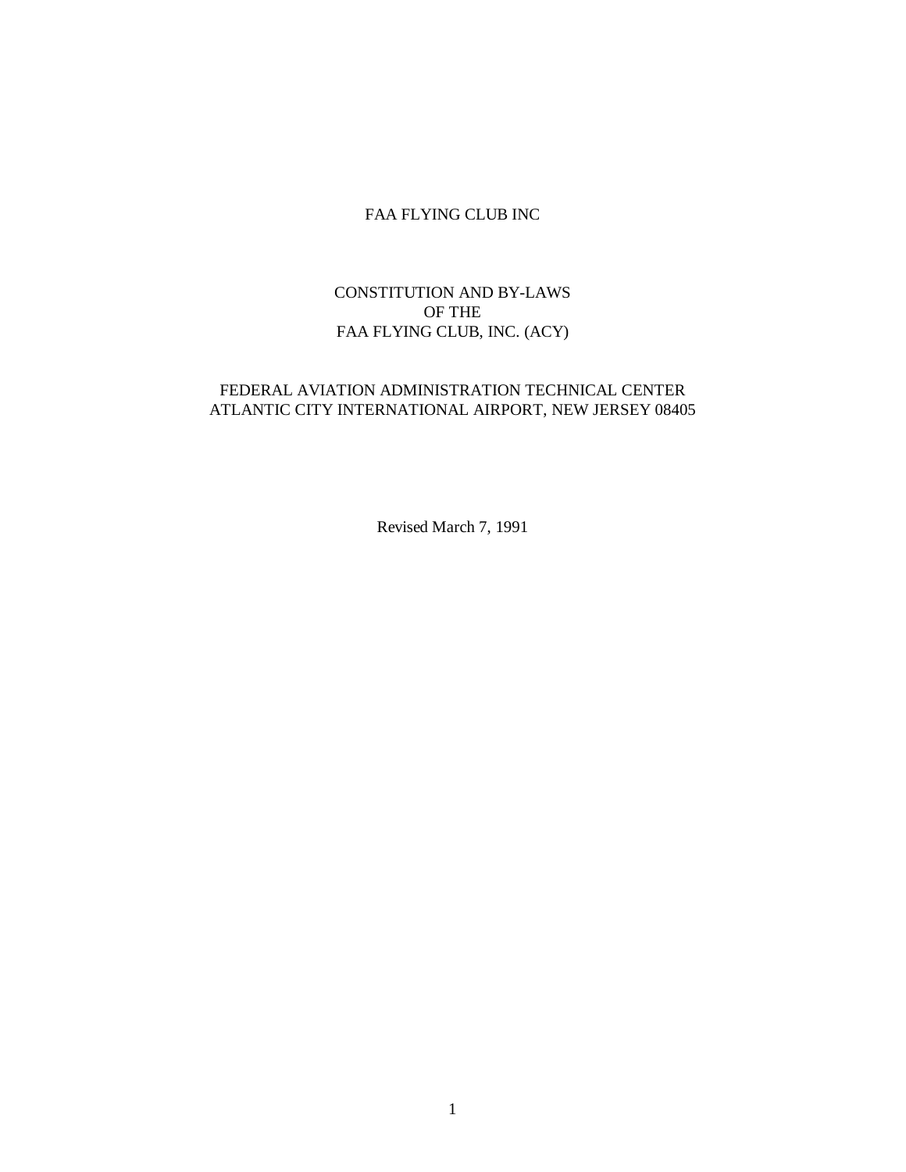# FAA FLYING CLUB INC

# CONSTITUTION AND BY-LAWS OF THE FAA FLYING CLUB, INC. (ACY)

# FEDERAL AVIATION ADMINISTRATION TECHNICAL CENTER ATLANTIC CITY INTERNATIONAL AIRPORT, NEW JERSEY 08405

Revised March 7, 1991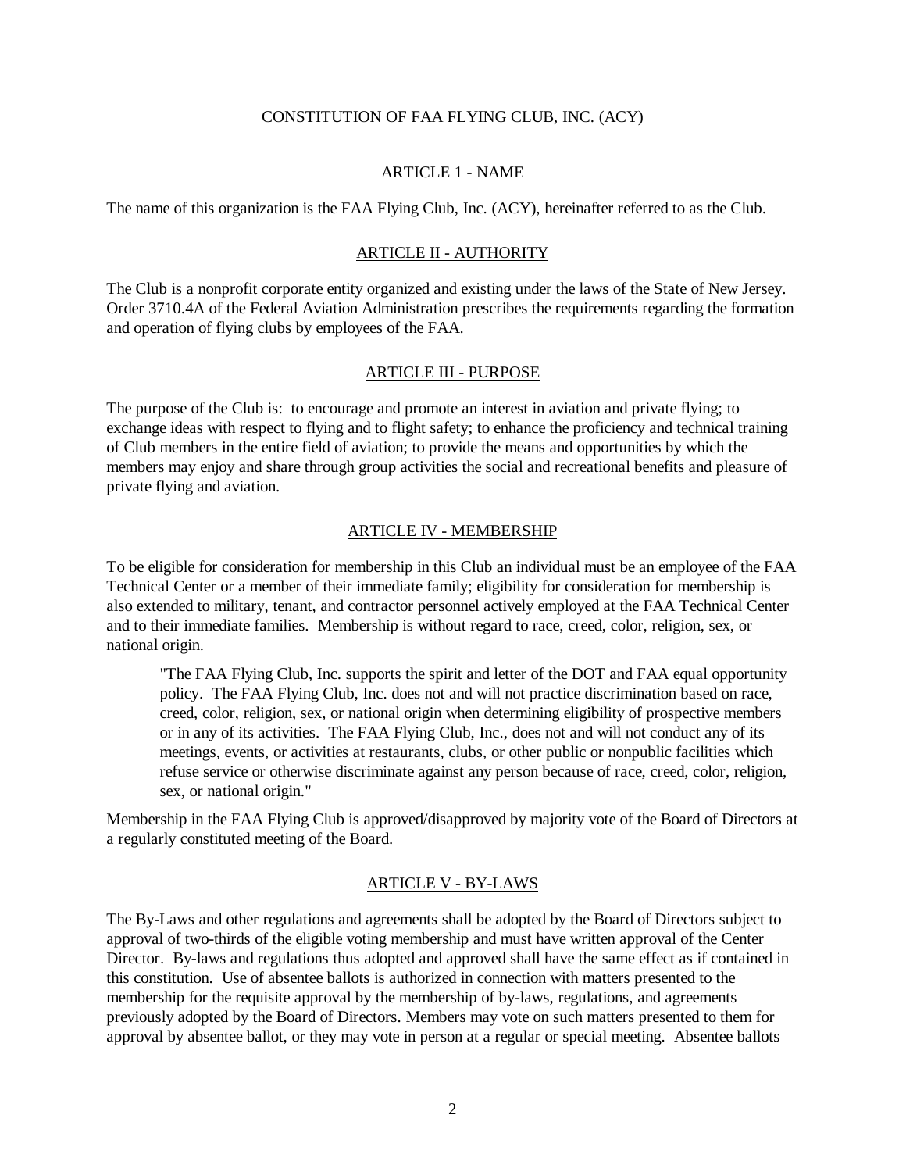#### CONSTITUTION OF FAA FLYING CLUB, INC. (ACY)

### ARTICLE 1 - NAME

The name of this organization is the FAA Flying Club, Inc. (ACY), hereinafter referred to as the Club.

# ARTICLE II - AUTHORITY

The Club is a nonprofit corporate entity organized and existing under the laws of the State of New Jersey. Order 3710.4A of the Federal Aviation Administration prescribes the requirements regarding the formation and operation of flying clubs by employees of the FAA.

#### ARTICLE III - PURPOSE

The purpose of the Club is: to encourage and promote an interest in aviation and private flying; to exchange ideas with respect to flying and to flight safety; to enhance the proficiency and technical training of Club members in the entire field of aviation; to provide the means and opportunities by which the members may enjoy and share through group activities the social and recreational benefits and pleasure of private flying and aviation.

#### ARTICLE IV - MEMBERSHIP

To be eligible for consideration for membership in this Club an individual must be an employee of the FAA Technical Center or a member of their immediate family; eligibility for consideration for membership is also extended to military, tenant, and contractor personnel actively employed at the FAA Technical Center and to their immediate families. Membership is without regard to race, creed, color, religion, sex, or national origin.

"The FAA Flying Club, Inc. supports the spirit and letter of the DOT and FAA equal opportunity policy. The FAA Flying Club, Inc. does not and will not practice discrimination based on race, creed, color, religion, sex, or national origin when determining eligibility of prospective members or in any of its activities. The FAA Flying Club, Inc., does not and will not conduct any of its meetings, events, or activities at restaurants, clubs, or other public or nonpublic facilities which refuse service or otherwise discriminate against any person because of race, creed, color, religion, sex, or national origin."

Membership in the FAA Flying Club is approved/disapproved by majority vote of the Board of Directors at a regularly constituted meeting of the Board.

### ARTICLE V - BY-LAWS

The By-Laws and other regulations and agreements shall be adopted by the Board of Directors subject to approval of two-thirds of the eligible voting membership and must have written approval of the Center Director. By-laws and regulations thus adopted and approved shall have the same effect as if contained in this constitution. Use of absentee ballots is authorized in connection with matters presented to the membership for the requisite approval by the membership of by-laws, regulations, and agreements previously adopted by the Board of Directors. Members may vote on such matters presented to them for approval by absentee ballot, or they may vote in person at a regular or special meeting. Absentee ballots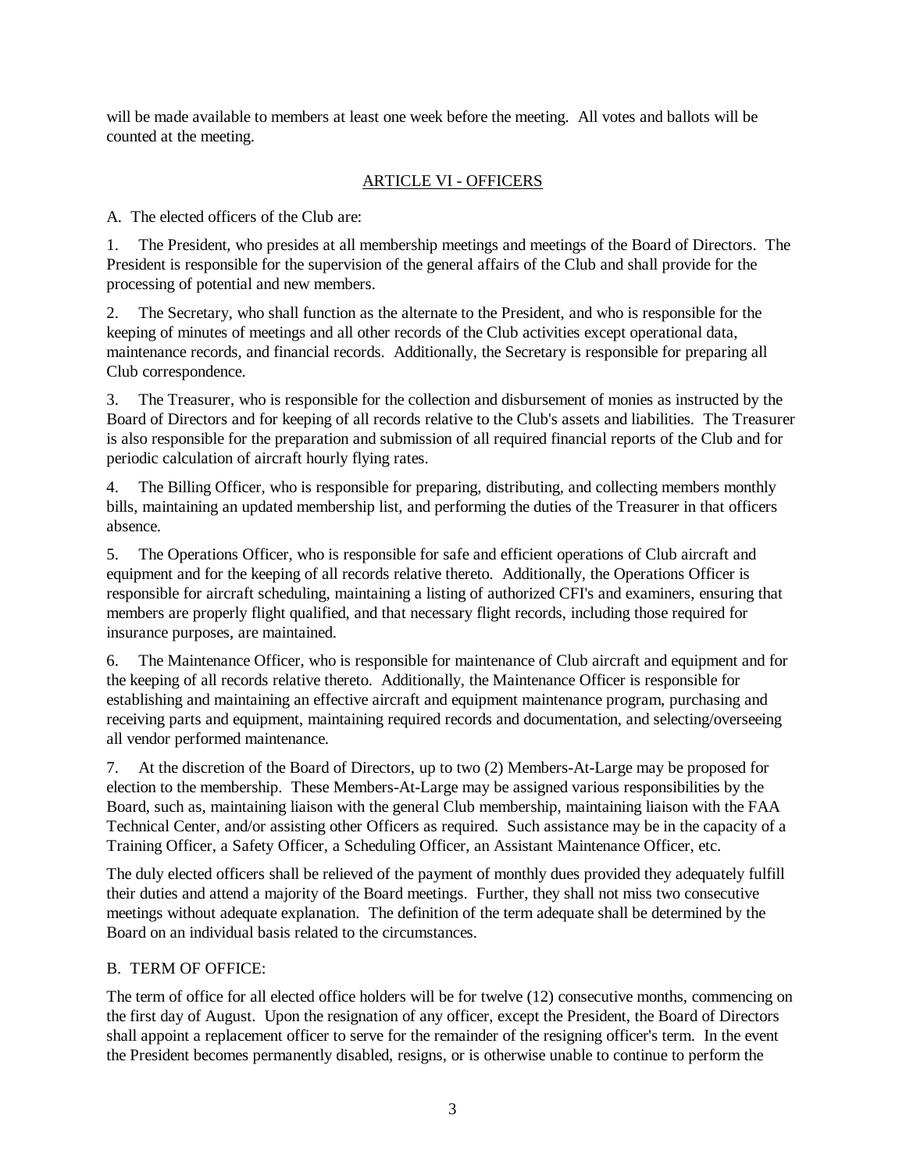will be made available to members at least one week before the meeting. All votes and ballots will be counted at the meeting.

# ARTICLE VI - OFFICERS

A. The elected officers of the Club are:

1. The President, who presides at all membership meetings and meetings of the Board of Directors. The President is responsible for the supervision of the general affairs of the Club and shall provide for the processing of potential and new members.

2. The Secretary, who shall function as the alternate to the President, and who is responsible for the keeping of minutes of meetings and all other records of the Club activities except operational data, maintenance records, and financial records. Additionally, the Secretary is responsible for preparing all Club correspondence.

3. The Treasurer, who is responsible for the collection and disbursement of monies as instructed by the Board of Directors and for keeping of all records relative to the Club's assets and liabilities. The Treasurer is also responsible for the preparation and submission of all required financial reports of the Club and for periodic calculation of aircraft hourly flying rates.

4. The Billing Officer, who is responsible for preparing, distributing, and collecting members monthly bills, maintaining an updated membership list, and performing the duties of the Treasurer in that officers absence.

5. The Operations Officer, who is responsible for safe and efficient operations of Club aircraft and equipment and for the keeping of all records relative thereto. Additionally, the Operations Officer is responsible for aircraft scheduling, maintaining a listing of authorized CFI's and examiners, ensuring that members are properly flight qualified, and that necessary flight records, including those required for insurance purposes, are maintained.

6. The Maintenance Officer, who is responsible for maintenance of Club aircraft and equipment and for the keeping of all records relative thereto. Additionally, the Maintenance Officer is responsible for establishing and maintaining an effective aircraft and equipment maintenance program, purchasing and receiving parts and equipment, maintaining required records and documentation, and selecting/overseeing all vendor performed maintenance.

7. At the discretion of the Board of Directors, up to two (2) Members-At-Large may be proposed for election to the membership. These Members-At-Large may be assigned various responsibilities by the Board, such as, maintaining liaison with the general Club membership, maintaining liaison with the FAA Technical Center, and/or assisting other Officers as required. Such assistance may be in the capacity of a Training Officer, a Safety Officer, a Scheduling Officer, an Assistant Maintenance Officer, etc.

The duly elected officers shall be relieved of the payment of monthly dues provided they adequately fulfill their duties and attend a majority of the Board meetings. Further, they shall not miss two consecutive meetings without adequate explanation. The definition of the term adequate shall be determined by the Board on an individual basis related to the circumstances.

## B. TERM OF OFFICE:

The term of office for all elected office holders will be for twelve (12) consecutive months, commencing on the first day of August. Upon the resignation of any officer, except the President, the Board of Directors shall appoint a replacement officer to serve for the remainder of the resigning officer's term. In the event the President becomes permanently disabled, resigns, or is otherwise unable to continue to perform the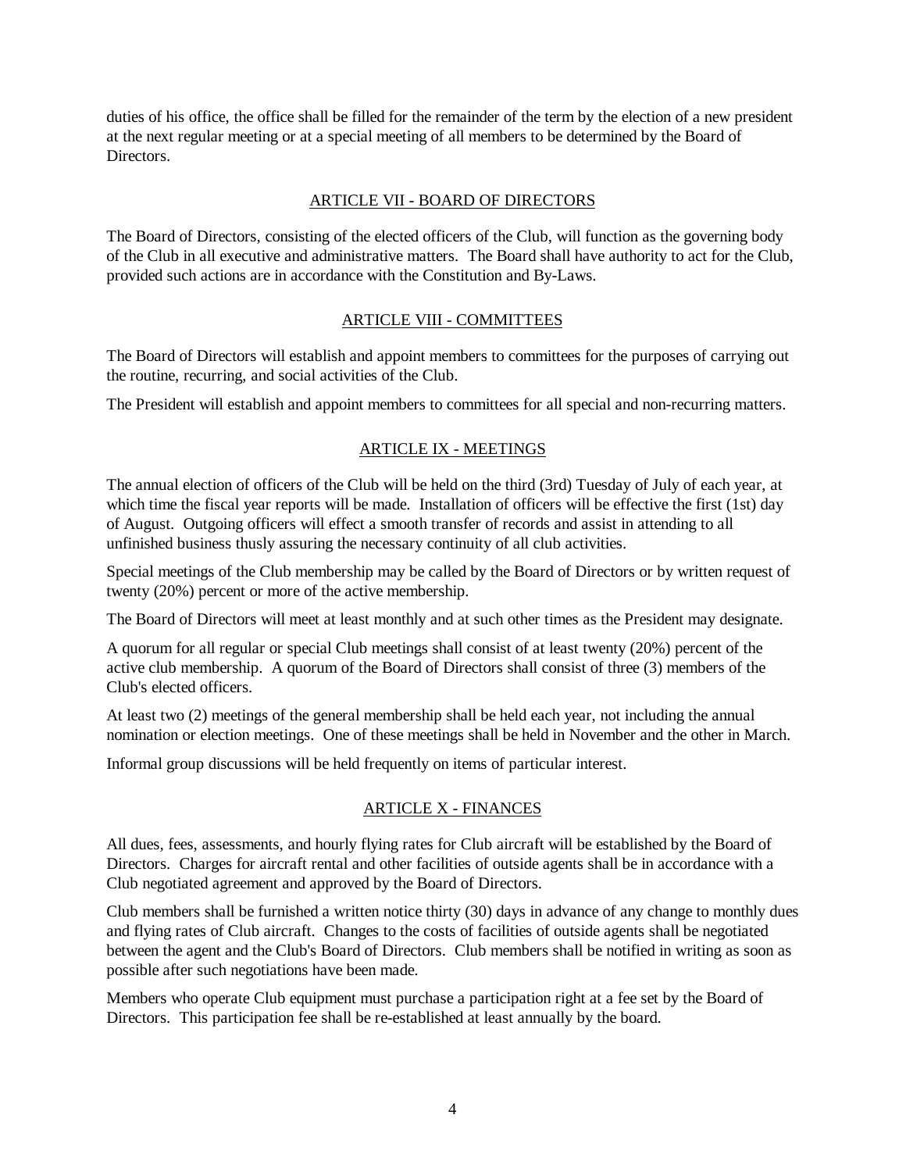duties of his office, the office shall be filled for the remainder of the term by the election of a new president at the next regular meeting or at a special meeting of all members to be determined by the Board of Directors.

## ARTICLE VII - BOARD OF DIRECTORS

The Board of Directors, consisting of the elected officers of the Club, will function as the governing body of the Club in all executive and administrative matters. The Board shall have authority to act for the Club, provided such actions are in accordance with the Constitution and By-Laws.

### ARTICLE VIII - COMMITTEES

The Board of Directors will establish and appoint members to committees for the purposes of carrying out the routine, recurring, and social activities of the Club.

The President will establish and appoint members to committees for all special and non-recurring matters.

# ARTICLE IX - MEETINGS

The annual election of officers of the Club will be held on the third (3rd) Tuesday of July of each year, at which time the fiscal year reports will be made. Installation of officers will be effective the first (1st) day of August. Outgoing officers will effect a smooth transfer of records and assist in attending to all unfinished business thusly assuring the necessary continuity of all club activities.

Special meetings of the Club membership may be called by the Board of Directors or by written request of twenty (20%) percent or more of the active membership.

The Board of Directors will meet at least monthly and at such other times as the President may designate.

A quorum for all regular or special Club meetings shall consist of at least twenty (20%) percent of the active club membership. A quorum of the Board of Directors shall consist of three (3) members of the Club's elected officers.

At least two (2) meetings of the general membership shall be held each year, not including the annual nomination or election meetings. One of these meetings shall be held in November and the other in March.

Informal group discussions will be held frequently on items of particular interest.

## ARTICLE X - FINANCES

All dues, fees, assessments, and hourly flying rates for Club aircraft will be established by the Board of Directors. Charges for aircraft rental and other facilities of outside agents shall be in accordance with a Club negotiated agreement and approved by the Board of Directors.

Club members shall be furnished a written notice thirty (30) days in advance of any change to monthly dues and flying rates of Club aircraft. Changes to the costs of facilities of outside agents shall be negotiated between the agent and the Club's Board of Directors. Club members shall be notified in writing as soon as possible after such negotiations have been made.

Members who operate Club equipment must purchase a participation right at a fee set by the Board of Directors. This participation fee shall be re-established at least annually by the board.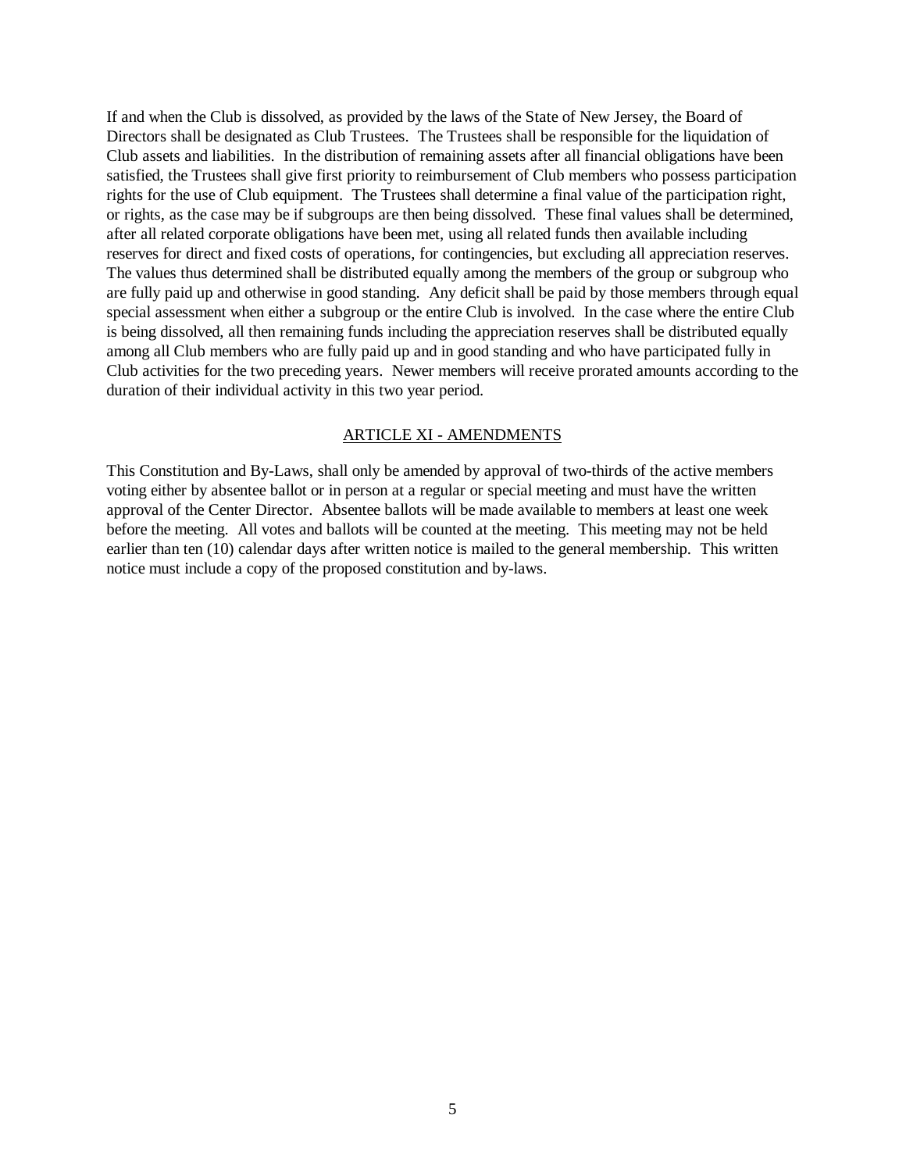If and when the Club is dissolved, as provided by the laws of the State of New Jersey, the Board of Directors shall be designated as Club Trustees. The Trustees shall be responsible for the liquidation of Club assets and liabilities. In the distribution of remaining assets after all financial obligations have been satisfied, the Trustees shall give first priority to reimbursement of Club members who possess participation rights for the use of Club equipment. The Trustees shall determine a final value of the participation right, or rights, as the case may be if subgroups are then being dissolved. These final values shall be determined, after all related corporate obligations have been met, using all related funds then available including reserves for direct and fixed costs of operations, for contingencies, but excluding all appreciation reserves. The values thus determined shall be distributed equally among the members of the group or subgroup who are fully paid up and otherwise in good standing. Any deficit shall be paid by those members through equal special assessment when either a subgroup or the entire Club is involved. In the case where the entire Club is being dissolved, all then remaining funds including the appreciation reserves shall be distributed equally among all Club members who are fully paid up and in good standing and who have participated fully in Club activities for the two preceding years. Newer members will receive prorated amounts according to the duration of their individual activity in this two year period.

### ARTICLE XI - AMENDMENTS

This Constitution and By-Laws, shall only be amended by approval of two-thirds of the active members voting either by absentee ballot or in person at a regular or special meeting and must have the written approval of the Center Director. Absentee ballots will be made available to members at least one week before the meeting. All votes and ballots will be counted at the meeting. This meeting may not be held earlier than ten (10) calendar days after written notice is mailed to the general membership. This written notice must include a copy of the proposed constitution and by-laws.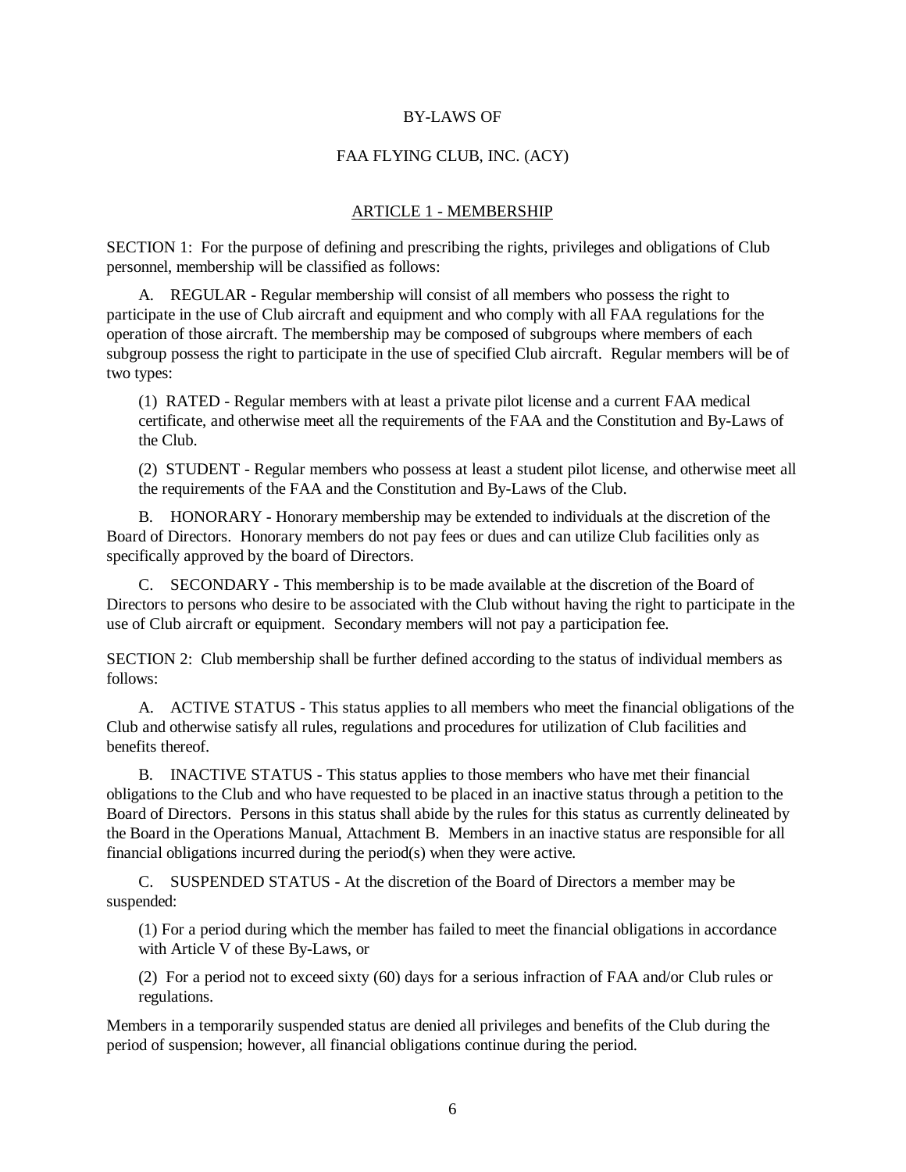### BY-LAWS OF

### FAA FLYING CLUB, INC. (ACY)

#### ARTICLE 1 - MEMBERSHIP

SECTION 1: For the purpose of defining and prescribing the rights, privileges and obligations of Club personnel, membership will be classified as follows:

A. REGULAR - Regular membership will consist of all members who possess the right to participate in the use of Club aircraft and equipment and who comply with all FAA regulations for the operation of those aircraft. The membership may be composed of subgroups where members of each subgroup possess the right to participate in the use of specified Club aircraft. Regular members will be of two types:

(1) RATED - Regular members with at least a private pilot license and a current FAA medical certificate, and otherwise meet all the requirements of the FAA and the Constitution and By-Laws of the Club.

(2) STUDENT - Regular members who possess at least a student pilot license, and otherwise meet all the requirements of the FAA and the Constitution and By-Laws of the Club.

B. HONORARY - Honorary membership may be extended to individuals at the discretion of the Board of Directors. Honorary members do not pay fees or dues and can utilize Club facilities only as specifically approved by the board of Directors.

C. SECONDARY - This membership is to be made available at the discretion of the Board of Directors to persons who desire to be associated with the Club without having the right to participate in the use of Club aircraft or equipment. Secondary members will not pay a participation fee.

SECTION 2: Club membership shall be further defined according to the status of individual members as follows:

A. ACTIVE STATUS - This status applies to all members who meet the financial obligations of the Club and otherwise satisfy all rules, regulations and procedures for utilization of Club facilities and benefits thereof.

B. INACTIVE STATUS - This status applies to those members who have met their financial obligations to the Club and who have requested to be placed in an inactive status through a petition to the Board of Directors. Persons in this status shall abide by the rules for this status as currently delineated by the Board in the Operations Manual, Attachment B. Members in an inactive status are responsible for all financial obligations incurred during the period(s) when they were active.

C. SUSPENDED STATUS - At the discretion of the Board of Directors a member may be suspended:

(1) For a period during which the member has failed to meet the financial obligations in accordance with Article V of these By-Laws, or

(2) For a period not to exceed sixty (60) days for a serious infraction of FAA and/or Club rules or regulations.

Members in a temporarily suspended status are denied all privileges and benefits of the Club during the period of suspension; however, all financial obligations continue during the period.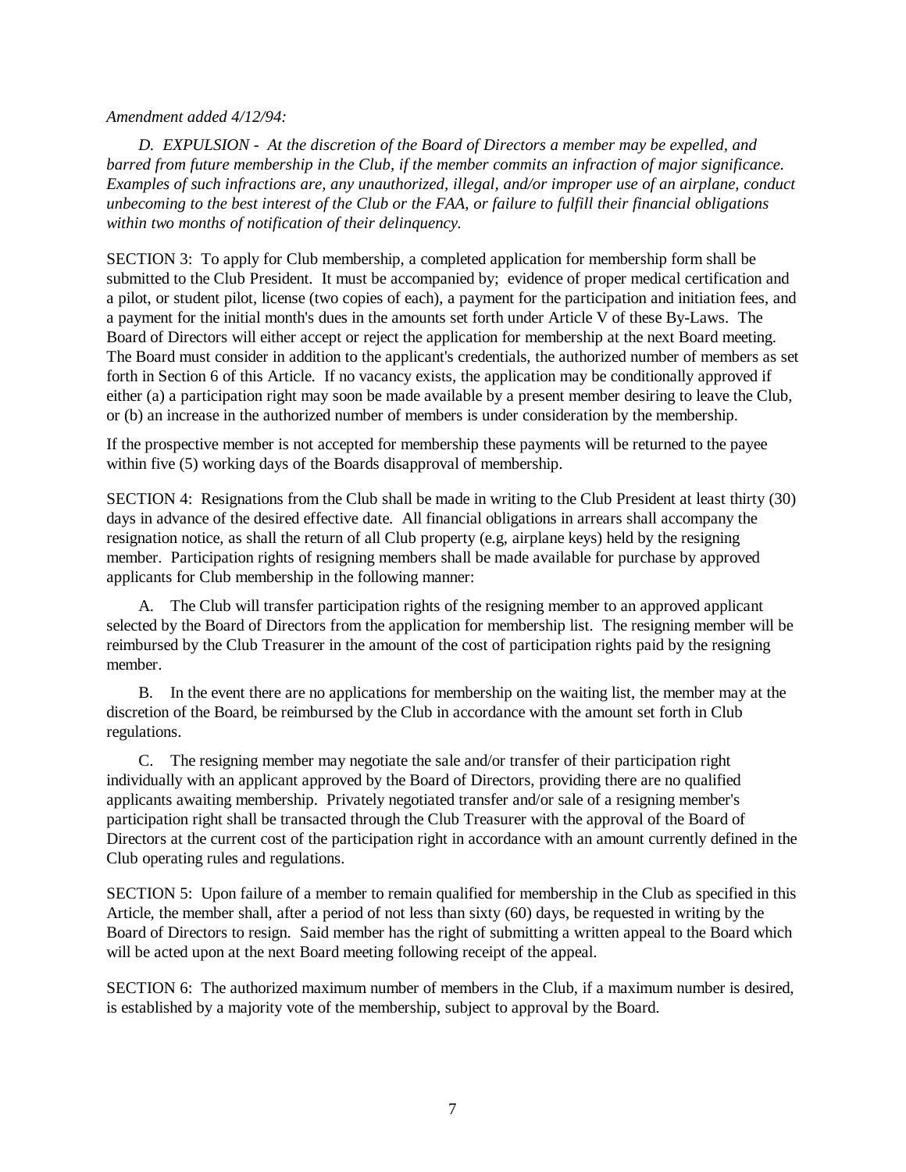### *Amendment added 4/12/94:*

*D. EXPULSION - At the discretion of the Board of Directors a member may be expelled, and barred from future membership in the Club, if the member commits an infraction of major significance. Examples of such infractions are, any unauthorized, illegal, and/or improper use of an airplane, conduct unbecoming to the best interest of the Club or the FAA, or failure to fulfill their financial obligations within two months of notification of their delinquency.*

SECTION 3: To apply for Club membership, a completed application for membership form shall be submitted to the Club President. It must be accompanied by; evidence of proper medical certification and a pilot, or student pilot, license (two copies of each), a payment for the participation and initiation fees, and a payment for the initial month's dues in the amounts set forth under Article V of these By-Laws. The Board of Directors will either accept or reject the application for membership at the next Board meeting. The Board must consider in addition to the applicant's credentials, the authorized number of members as set forth in Section 6 of this Article. If no vacancy exists, the application may be conditionally approved if either (a) a participation right may soon be made available by a present member desiring to leave the Club, or (b) an increase in the authorized number of members is under consideration by the membership.

If the prospective member is not accepted for membership these payments will be returned to the payee within five (5) working days of the Boards disapproval of membership.

SECTION 4: Resignations from the Club shall be made in writing to the Club President at least thirty (30) days in advance of the desired effective date. All financial obligations in arrears shall accompany the resignation notice, as shall the return of all Club property (e.g, airplane keys) held by the resigning member. Participation rights of resigning members shall be made available for purchase by approved applicants for Club membership in the following manner:

A. The Club will transfer participation rights of the resigning member to an approved applicant selected by the Board of Directors from the application for membership list. The resigning member will be reimbursed by the Club Treasurer in the amount of the cost of participation rights paid by the resigning member.

B. In the event there are no applications for membership on the waiting list, the member may at the discretion of the Board, be reimbursed by the Club in accordance with the amount set forth in Club regulations.

C. The resigning member may negotiate the sale and/or transfer of their participation right individually with an applicant approved by the Board of Directors, providing there are no qualified applicants awaiting membership. Privately negotiated transfer and/or sale of a resigning member's participation right shall be transacted through the Club Treasurer with the approval of the Board of Directors at the current cost of the participation right in accordance with an amount currently defined in the Club operating rules and regulations.

SECTION 5: Upon failure of a member to remain qualified for membership in the Club as specified in this Article, the member shall, after a period of not less than sixty (60) days, be requested in writing by the Board of Directors to resign. Said member has the right of submitting a written appeal to the Board which will be acted upon at the next Board meeting following receipt of the appeal.

SECTION 6: The authorized maximum number of members in the Club, if a maximum number is desired, is established by a majority vote of the membership, subject to approval by the Board.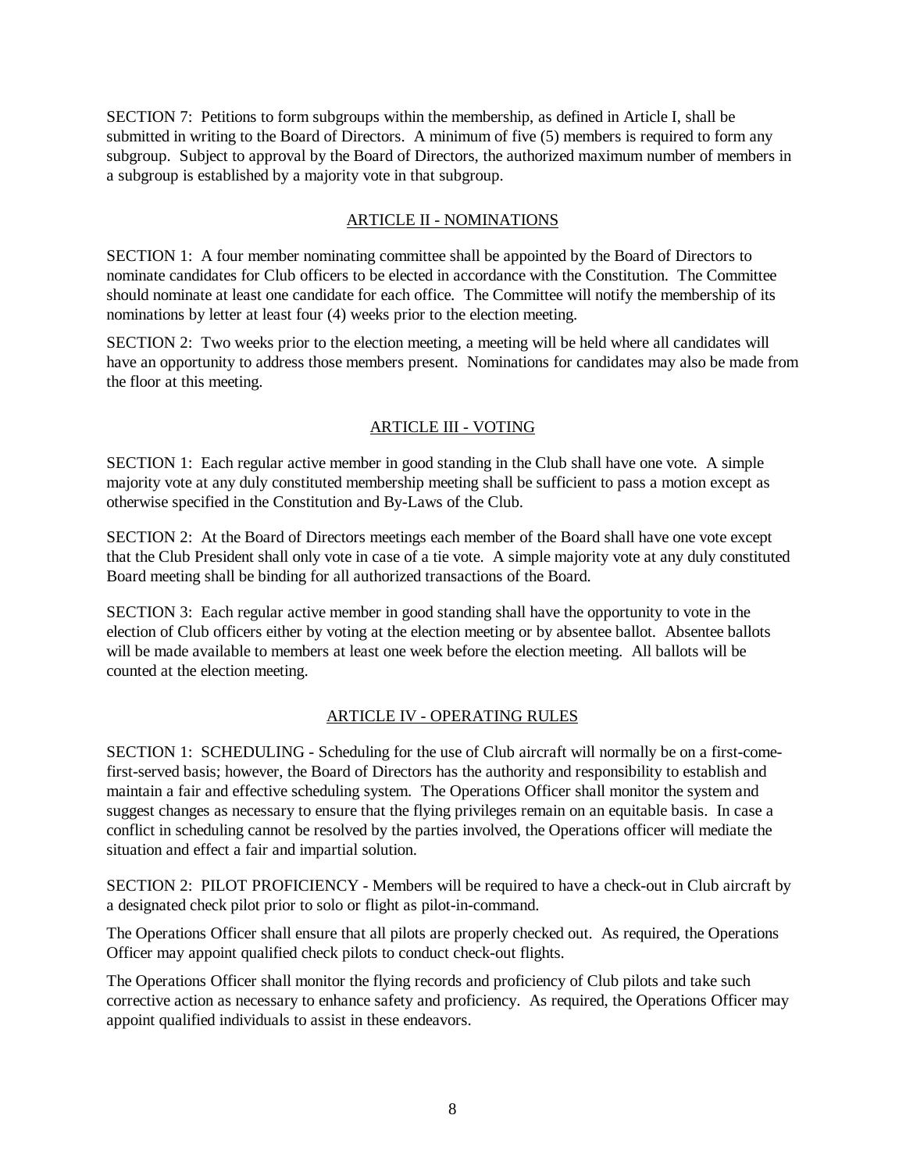SECTION 7: Petitions to form subgroups within the membership, as defined in Article I, shall be submitted in writing to the Board of Directors. A minimum of five (5) members is required to form any subgroup. Subject to approval by the Board of Directors, the authorized maximum number of members in a subgroup is established by a majority vote in that subgroup.

# ARTICLE II - NOMINATIONS

SECTION 1: A four member nominating committee shall be appointed by the Board of Directors to nominate candidates for Club officers to be elected in accordance with the Constitution. The Committee should nominate at least one candidate for each office. The Committee will notify the membership of its nominations by letter at least four (4) weeks prior to the election meeting.

SECTION 2: Two weeks prior to the election meeting, a meeting will be held where all candidates will have an opportunity to address those members present. Nominations for candidates may also be made from the floor at this meeting.

# ARTICLE III - VOTING

SECTION 1: Each regular active member in good standing in the Club shall have one vote. A simple majority vote at any duly constituted membership meeting shall be sufficient to pass a motion except as otherwise specified in the Constitution and By-Laws of the Club.

SECTION 2: At the Board of Directors meetings each member of the Board shall have one vote except that the Club President shall only vote in case of a tie vote. A simple majority vote at any duly constituted Board meeting shall be binding for all authorized transactions of the Board.

SECTION 3: Each regular active member in good standing shall have the opportunity to vote in the election of Club officers either by voting at the election meeting or by absentee ballot. Absentee ballots will be made available to members at least one week before the election meeting. All ballots will be counted at the election meeting.

## ARTICLE IV - OPERATING RULES

SECTION 1: SCHEDULING - Scheduling for the use of Club aircraft will normally be on a first-comefirst-served basis; however, the Board of Directors has the authority and responsibility to establish and maintain a fair and effective scheduling system. The Operations Officer shall monitor the system and suggest changes as necessary to ensure that the flying privileges remain on an equitable basis. In case a conflict in scheduling cannot be resolved by the parties involved, the Operations officer will mediate the situation and effect a fair and impartial solution.

SECTION 2: PILOT PROFICIENCY - Members will be required to have a check-out in Club aircraft by a designated check pilot prior to solo or flight as pilot-in-command.

The Operations Officer shall ensure that all pilots are properly checked out. As required, the Operations Officer may appoint qualified check pilots to conduct check-out flights.

The Operations Officer shall monitor the flying records and proficiency of Club pilots and take such corrective action as necessary to enhance safety and proficiency. As required, the Operations Officer may appoint qualified individuals to assist in these endeavors.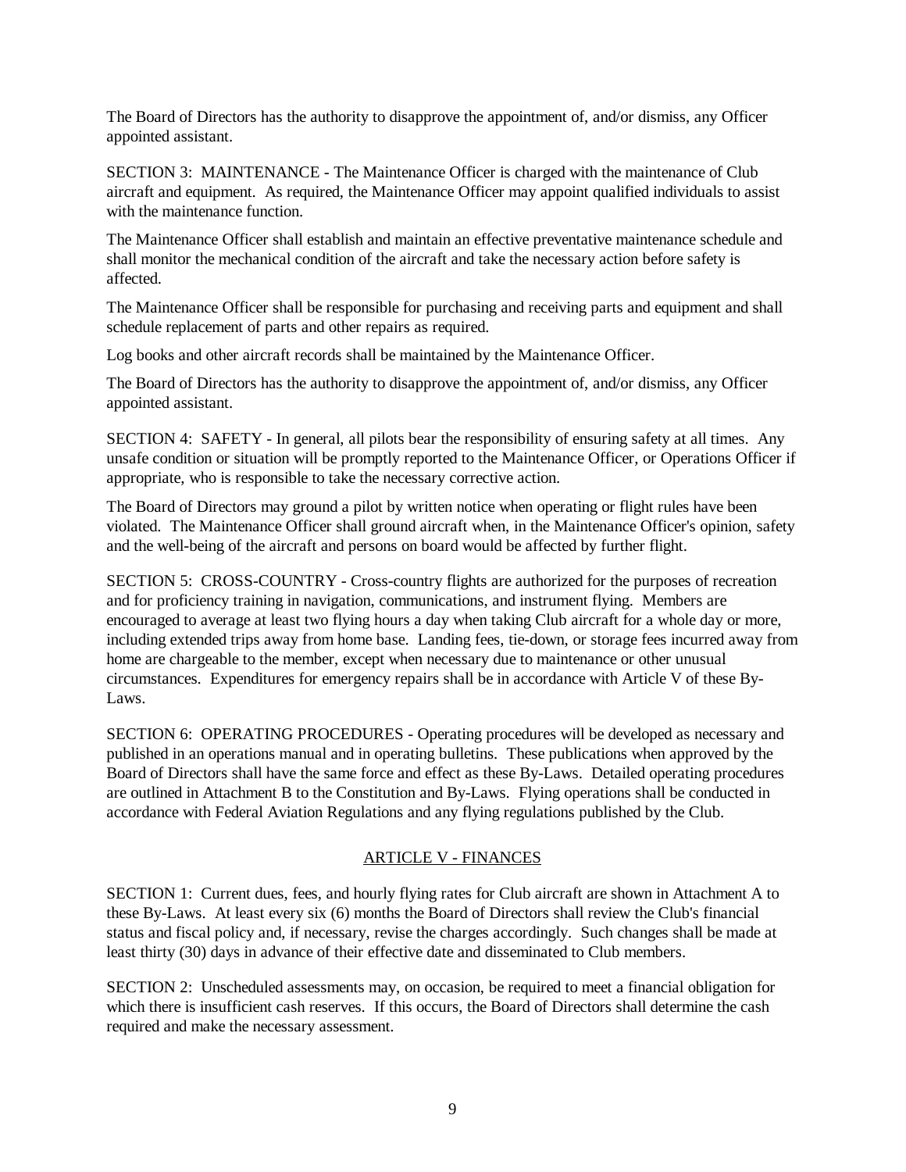The Board of Directors has the authority to disapprove the appointment of, and/or dismiss, any Officer appointed assistant.

SECTION 3: MAINTENANCE - The Maintenance Officer is charged with the maintenance of Club aircraft and equipment. As required, the Maintenance Officer may appoint qualified individuals to assist with the maintenance function.

The Maintenance Officer shall establish and maintain an effective preventative maintenance schedule and shall monitor the mechanical condition of the aircraft and take the necessary action before safety is affected.

The Maintenance Officer shall be responsible for purchasing and receiving parts and equipment and shall schedule replacement of parts and other repairs as required.

Log books and other aircraft records shall be maintained by the Maintenance Officer.

The Board of Directors has the authority to disapprove the appointment of, and/or dismiss, any Officer appointed assistant.

SECTION 4: SAFETY - In general, all pilots bear the responsibility of ensuring safety at all times. Any unsafe condition or situation will be promptly reported to the Maintenance Officer, or Operations Officer if appropriate, who is responsible to take the necessary corrective action.

The Board of Directors may ground a pilot by written notice when operating or flight rules have been violated. The Maintenance Officer shall ground aircraft when, in the Maintenance Officer's opinion, safety and the well-being of the aircraft and persons on board would be affected by further flight.

SECTION 5: CROSS-COUNTRY - Cross-country flights are authorized for the purposes of recreation and for proficiency training in navigation, communications, and instrument flying. Members are encouraged to average at least two flying hours a day when taking Club aircraft for a whole day or more, including extended trips away from home base. Landing fees, tie-down, or storage fees incurred away from home are chargeable to the member, except when necessary due to maintenance or other unusual circumstances. Expenditures for emergency repairs shall be in accordance with Article V of these By-Laws.

SECTION 6: OPERATING PROCEDURES - Operating procedures will be developed as necessary and published in an operations manual and in operating bulletins. These publications when approved by the Board of Directors shall have the same force and effect as these By-Laws. Detailed operating procedures are outlined in Attachment B to the Constitution and By-Laws. Flying operations shall be conducted in accordance with Federal Aviation Regulations and any flying regulations published by the Club.

## ARTICLE V - FINANCES

SECTION 1: Current dues, fees, and hourly flying rates for Club aircraft are shown in Attachment A to these By-Laws. At least every six (6) months the Board of Directors shall review the Club's financial status and fiscal policy and, if necessary, revise the charges accordingly. Such changes shall be made at least thirty (30) days in advance of their effective date and disseminated to Club members.

SECTION 2: Unscheduled assessments may, on occasion, be required to meet a financial obligation for which there is insufficient cash reserves. If this occurs, the Board of Directors shall determine the cash required and make the necessary assessment.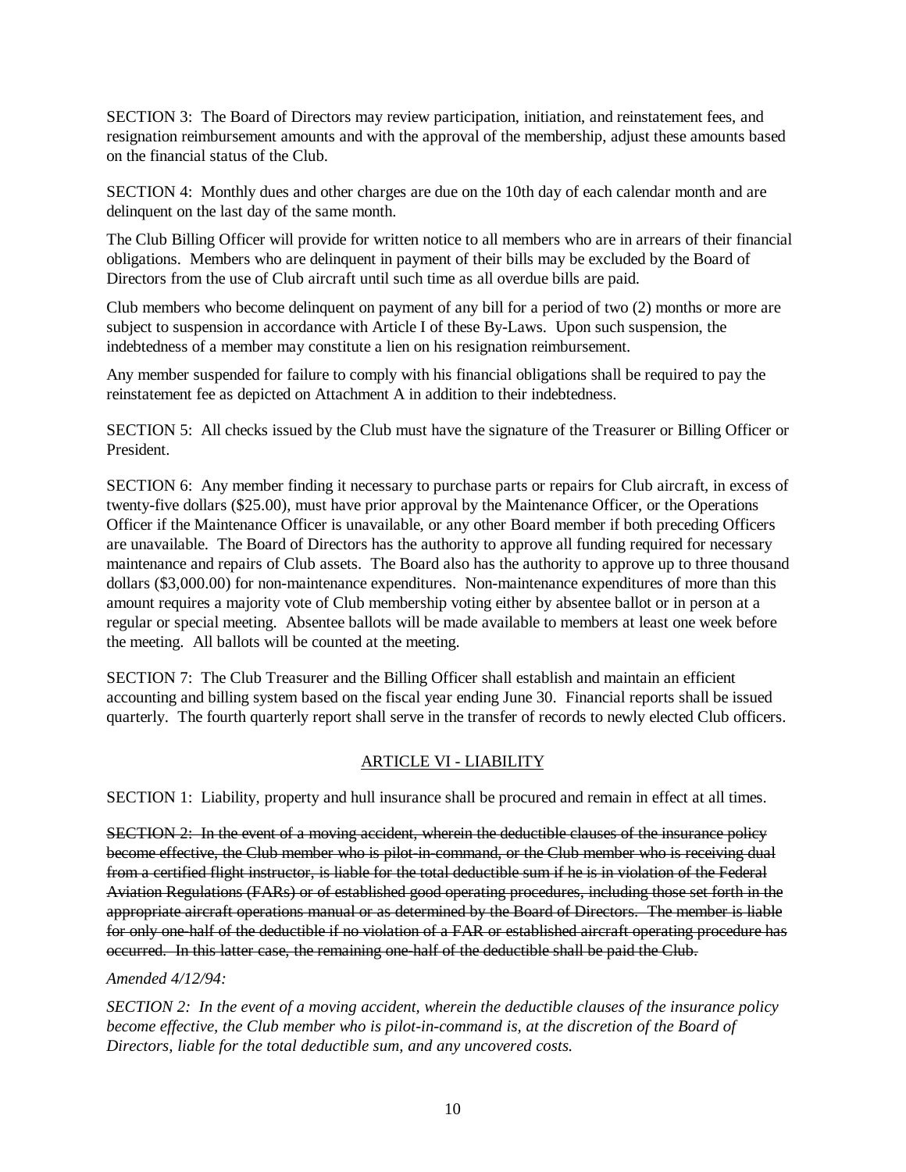SECTION 3: The Board of Directors may review participation, initiation, and reinstatement fees, and resignation reimbursement amounts and with the approval of the membership, adjust these amounts based on the financial status of the Club.

SECTION 4: Monthly dues and other charges are due on the 10th day of each calendar month and are delinquent on the last day of the same month.

The Club Billing Officer will provide for written notice to all members who are in arrears of their financial obligations. Members who are delinquent in payment of their bills may be excluded by the Board of Directors from the use of Club aircraft until such time as all overdue bills are paid.

Club members who become delinquent on payment of any bill for a period of two (2) months or more are subject to suspension in accordance with Article I of these By-Laws. Upon such suspension, the indebtedness of a member may constitute a lien on his resignation reimbursement.

Any member suspended for failure to comply with his financial obligations shall be required to pay the reinstatement fee as depicted on Attachment A in addition to their indebtedness.

SECTION 5: All checks issued by the Club must have the signature of the Treasurer or Billing Officer or President.

SECTION 6: Any member finding it necessary to purchase parts or repairs for Club aircraft, in excess of twenty-five dollars (\$25.00), must have prior approval by the Maintenance Officer, or the Operations Officer if the Maintenance Officer is unavailable, or any other Board member if both preceding Officers are unavailable. The Board of Directors has the authority to approve all funding required for necessary maintenance and repairs of Club assets. The Board also has the authority to approve up to three thousand dollars (\$3,000.00) for non-maintenance expenditures. Non-maintenance expenditures of more than this amount requires a majority vote of Club membership voting either by absentee ballot or in person at a regular or special meeting. Absentee ballots will be made available to members at least one week before the meeting. All ballots will be counted at the meeting.

SECTION 7: The Club Treasurer and the Billing Officer shall establish and maintain an efficient accounting and billing system based on the fiscal year ending June 30. Financial reports shall be issued quarterly. The fourth quarterly report shall serve in the transfer of records to newly elected Club officers.

## ARTICLE VI - LIABILITY

SECTION 1: Liability, property and hull insurance shall be procured and remain in effect at all times.

SECTION 2: In the event of a moving accident, wherein the deductible clauses of the insurance policy become effective, the Club member who is pilot-in-command, or the Club member who is receiving dual from a certified flight instructor, is liable for the total deductible sum if he is in violation of the Federal Aviation Regulations (FARs) or of established good operating procedures, including those set forth in the appropriate aircraft operations manual or as determined by the Board of Directors. The member is liable for only one-half of the deductible if no violation of a FAR or established aircraft operating procedure has occurred. In this latter case, the remaining one-half of the deductible shall be paid the Club.

## *Amended 4/12/94:*

*SECTION 2: In the event of a moving accident, wherein the deductible clauses of the insurance policy become effective, the Club member who is pilot-in-command is, at the discretion of the Board of Directors, liable for the total deductible sum, and any uncovered costs.*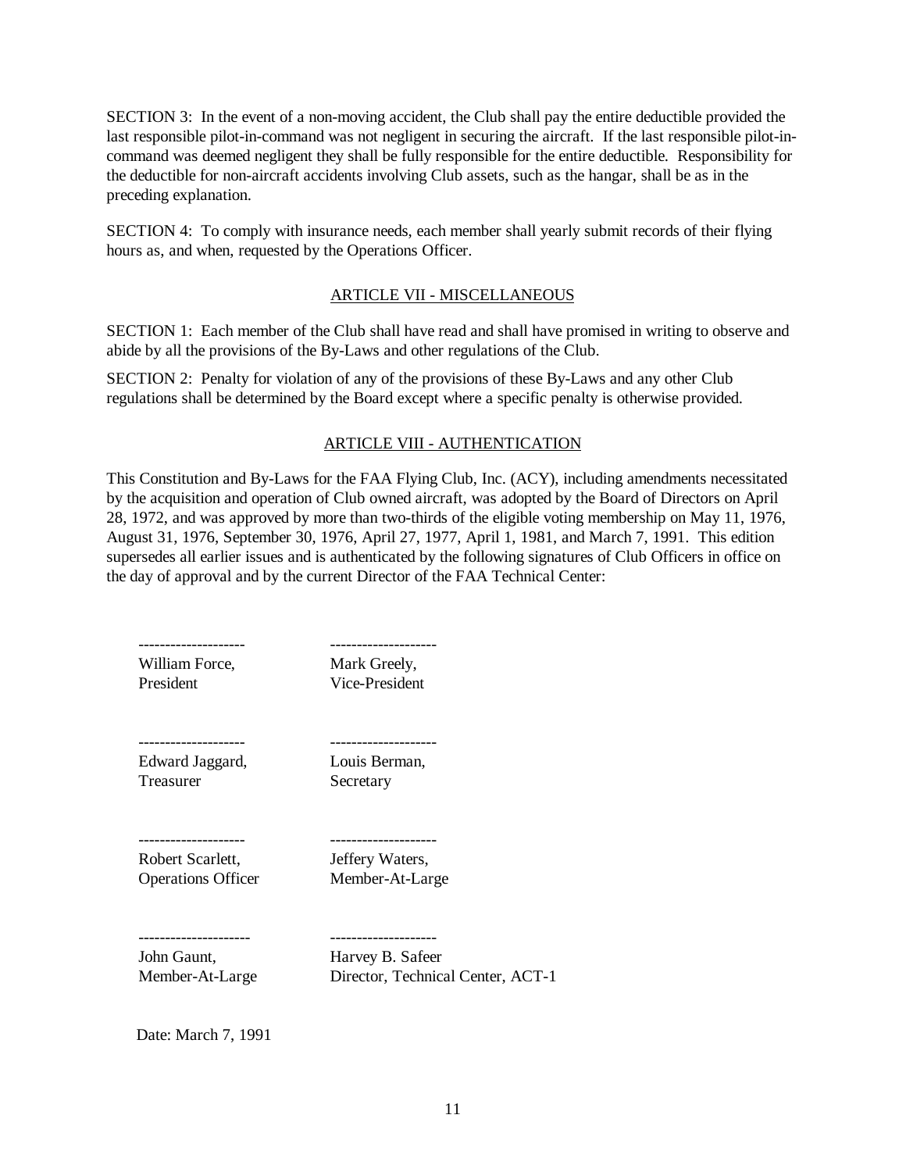SECTION 3: In the event of a non-moving accident, the Club shall pay the entire deductible provided the last responsible pilot-in-command was not negligent in securing the aircraft. If the last responsible pilot-incommand was deemed negligent they shall be fully responsible for the entire deductible. Responsibility for the deductible for non-aircraft accidents involving Club assets, such as the hangar, shall be as in the preceding explanation.

SECTION 4: To comply with insurance needs, each member shall yearly submit records of their flying hours as, and when, requested by the Operations Officer.

### ARTICLE VII - MISCELLANEOUS

SECTION 1: Each member of the Club shall have read and shall have promised in writing to observe and abide by all the provisions of the By-Laws and other regulations of the Club.

SECTION 2: Penalty for violation of any of the provisions of these By-Laws and any other Club regulations shall be determined by the Board except where a specific penalty is otherwise provided.

## ARTICLE VIII - AUTHENTICATION

This Constitution and By-Laws for the FAA Flying Club, Inc. (ACY), including amendments necessitated by the acquisition and operation of Club owned aircraft, was adopted by the Board of Directors on April 28, 1972, and was approved by more than two-thirds of the eligible voting membership on May 11, 1976, August 31, 1976, September 30, 1976, April 27, 1977, April 1, 1981, and March 7, 1991. This edition supersedes all earlier issues and is authenticated by the following signatures of Club Officers in office on the day of approval and by the current Director of the FAA Technical Center:

| William Force,            | Mark Greely,                      |
|---------------------------|-----------------------------------|
| President                 | Vice-President                    |
| --------------            | . _ _ _ _ _ _ _ _ _ _ _ _ _       |
| Edward Jaggard,           | Louis Berman,                     |
| <b>Treasurer</b>          | Secretary                         |
| Robert Scarlett,          | Jeffery Waters,                   |
| <b>Operations Officer</b> | Member-At-Large                   |
| John Gaunt,               | Harvey B. Safeer                  |
| Member-At-Large           | Director, Technical Center, ACT-1 |

Date: March 7, 1991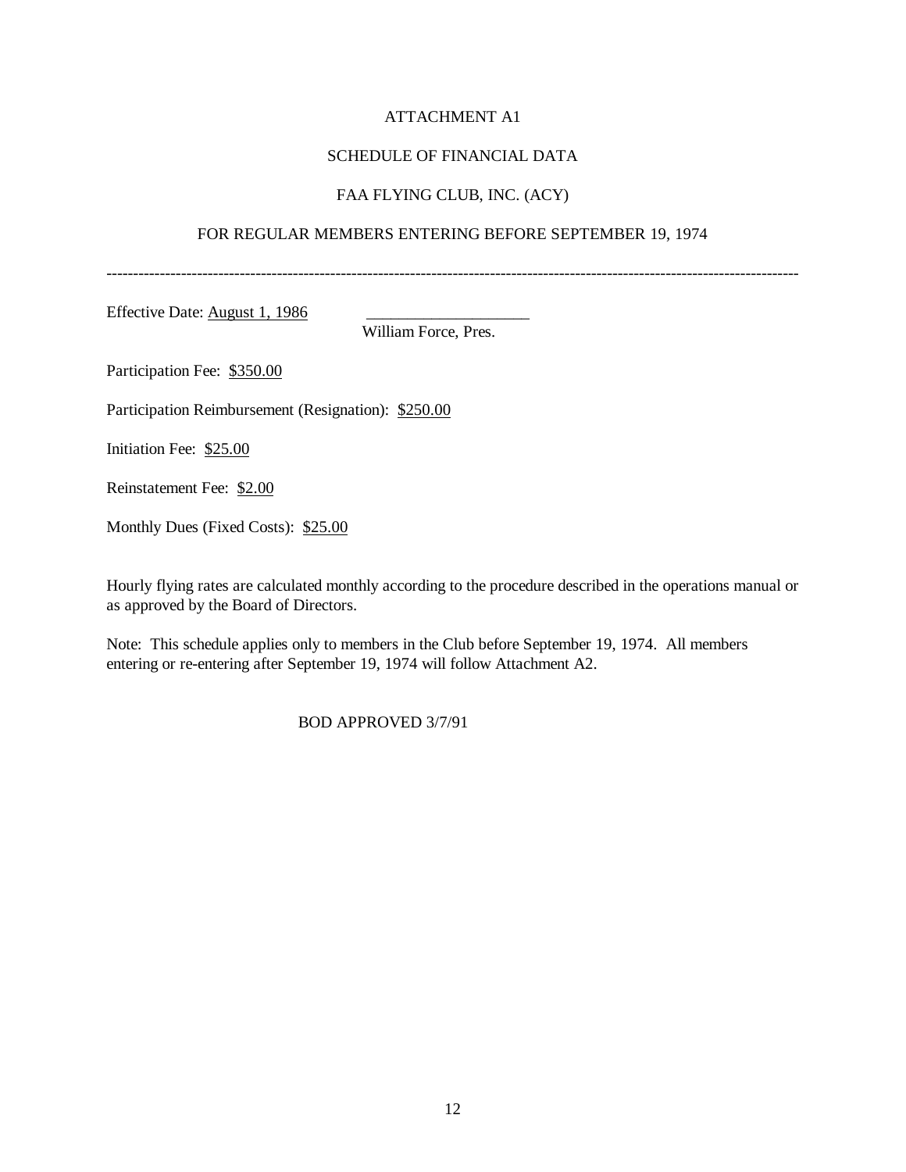## ATTACHMENT A1

### SCHEDULE OF FINANCIAL DATA

### FAA FLYING CLUB, INC. (ACY)

### FOR REGULAR MEMBERS ENTERING BEFORE SEPTEMBER 19, 1974

----------------------------------------------------------------------------------------------------------------------------------

Effective Date: August 1, 1986

William Force, Pres.

Participation Fee: \$350.00

Participation Reimbursement (Resignation): \$250.00

Initiation Fee: \$25.00

Reinstatement Fee: \$2.00

Monthly Dues (Fixed Costs): \$25.00

Hourly flying rates are calculated monthly according to the procedure described in the operations manual or as approved by the Board of Directors.

Note: This schedule applies only to members in the Club before September 19, 1974. All members entering or re-entering after September 19, 1974 will follow Attachment A2.

BOD APPROVED 3/7/91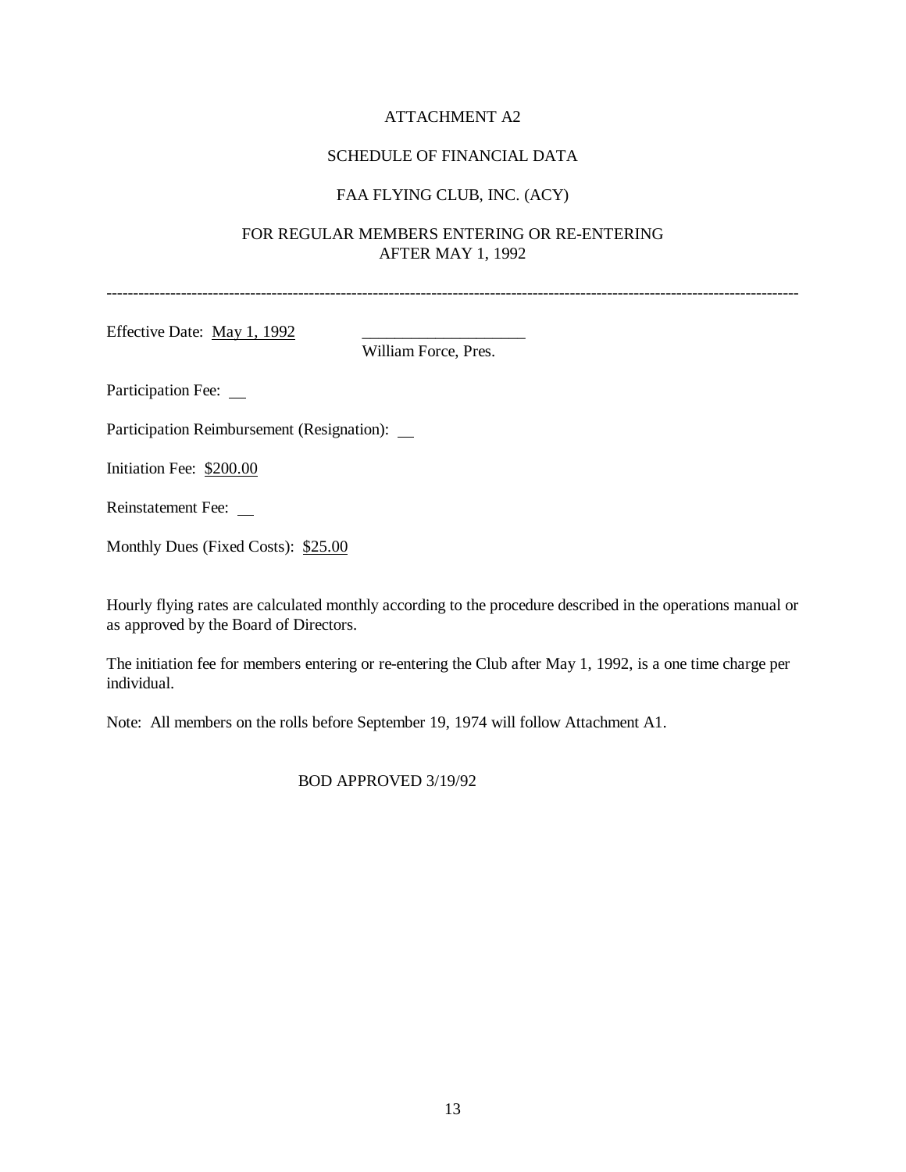## ATTACHMENT A2

## SCHEDULE OF FINANCIAL DATA

## FAA FLYING CLUB, INC. (ACY)

## FOR REGULAR MEMBERS ENTERING OR RE-ENTERING AFTER MAY 1, 1992

----------------------------------------------------------------------------------------------------------------------------------

Effective Date:  $\text{May } 1, 1992$ 

William Force, Pres.

Participation Fee: \_\_

Participation Reimbursement (Resignation):

Initiation Fee: \$200.00

Reinstatement Fee:

Monthly Dues (Fixed Costs): \$25.00

Hourly flying rates are calculated monthly according to the procedure described in the operations manual or as approved by the Board of Directors.

The initiation fee for members entering or re-entering the Club after May 1, 1992, is a one time charge per individual.

Note: All members on the rolls before September 19, 1974 will follow Attachment A1.

BOD APPROVED 3/19/92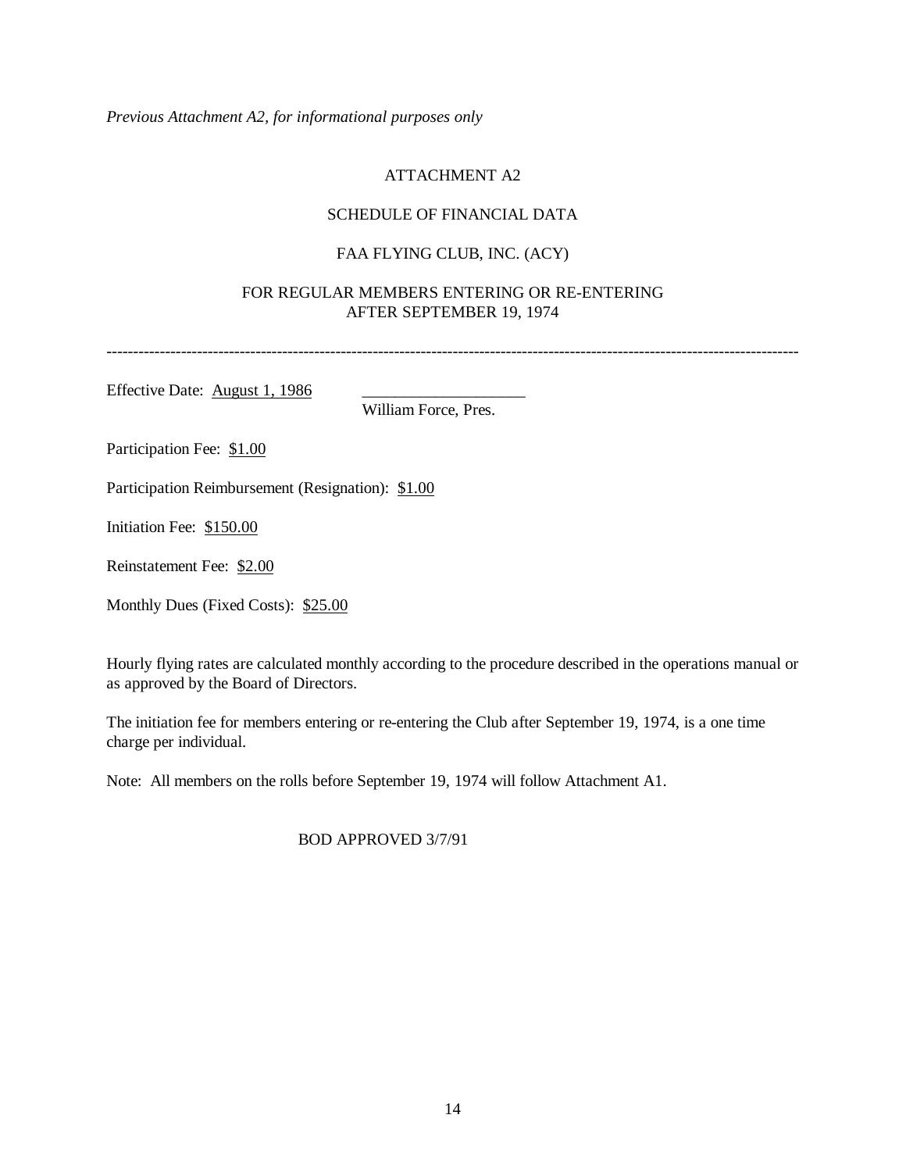*Previous Attachment A2, for informational purposes only*

# ATTACHMENT A2

# SCHEDULE OF FINANCIAL DATA

# FAA FLYING CLUB, INC. (ACY)

## FOR REGULAR MEMBERS ENTERING OR RE-ENTERING AFTER SEPTEMBER 19, 1974

----------------------------------------------------------------------------------------------------------------------------------

Effective Date: <u>August 1, 1986</u>

William Force, Pres.

Participation Fee: \$1.00

Participation Reimbursement (Resignation): \$1.00

Initiation Fee: \$150.00

Reinstatement Fee: \$2.00

Monthly Dues (Fixed Costs): \$25.00

Hourly flying rates are calculated monthly according to the procedure described in the operations manual or as approved by the Board of Directors.

The initiation fee for members entering or re-entering the Club after September 19, 1974, is a one time charge per individual.

Note: All members on the rolls before September 19, 1974 will follow Attachment A1.

BOD APPROVED 3/7/91